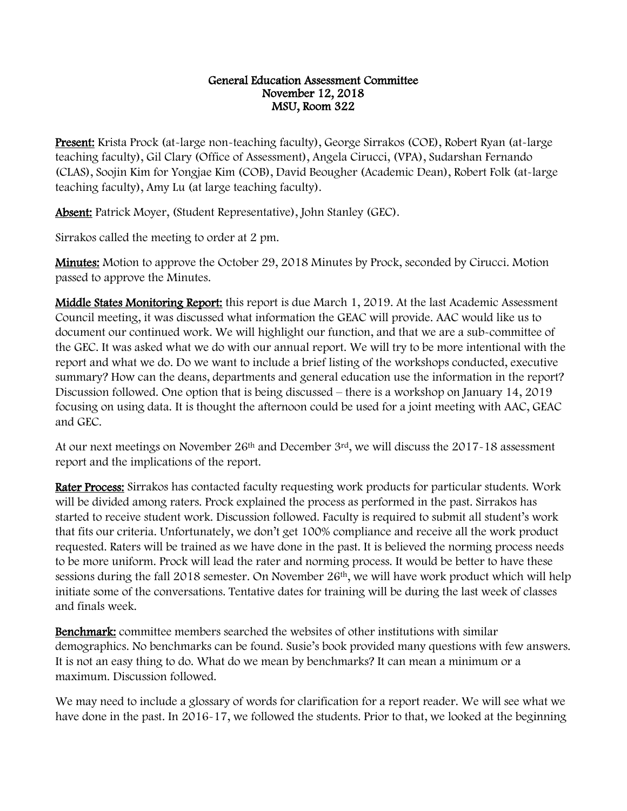## General Education Assessment Committee November 12, 2018 MSU, Room 322

Present: Krista Prock (at-large non-teaching faculty), George Sirrakos (COE), Robert Ryan (at-large teaching faculty), Gil Clary (Office of Assessment), Angela Cirucci, (VPA), Sudarshan Fernando (CLAS), Soojin Kim for Yongjae Kim (COB), David Beougher (Academic Dean), Robert Folk (at-large teaching faculty), Amy Lu (at large teaching faculty).

Absent: Patrick Moyer, (Student Representative), John Stanley (GEC).

Sirrakos called the meeting to order at 2 pm.

**Minutes:** Motion to approve the October 29, 2018 Minutes by Prock, seconded by Cirucci. Motion passed to approve the Minutes.

Middle States Monitoring Report: this report is due March 1, 2019. At the last Academic Assessment Council meeting, it was discussed what information the GEAC will provide. AAC would like us to document our continued work. We will highlight our function, and that we are a sub-committee of the GEC. It was asked what we do with our annual report. We will try to be more intentional with the report and what we do. Do we want to include a brief listing of the workshops conducted, executive summary? How can the deans, departments and general education use the information in the report? Discussion followed. One option that is being discussed – there is a workshop on January 14, 2019 focusing on using data. It is thought the afternoon could be used for a joint meeting with AAC, GEAC and GEC.

At our next meetings on November 26<sup>th</sup> and December  $3<sup>rd</sup>$ , we will discuss the 2017-18 assessment report and the implications of the report.

Rater Process: Sirrakos has contacted faculty requesting work products for particular students. Work will be divided among raters. Prock explained the process as performed in the past. Sirrakos has started to receive student work. Discussion followed. Faculty is required to submit all student's work that fits our criteria. Unfortunately, we don't get 100% compliance and receive all the work product requested. Raters will be trained as we have done in the past. It is believed the norming process needs to be more uniform. Prock will lead the rater and norming process. It would be better to have these sessions during the fall 2018 semester. On November  $26<sup>th</sup>$ , we will have work product which will help initiate some of the conversations. Tentative dates for training will be during the last week of classes and finals week.

Benchmark: committee members searched the websites of other institutions with similar demographics. No benchmarks can be found. Susie's book provided many questions with few answers. It is not an easy thing to do. What do we mean by benchmarks? It can mean a minimum or a maximum. Discussion followed.

We may need to include a glossary of words for clarification for a report reader. We will see what we have done in the past. In 2016-17, we followed the students. Prior to that, we looked at the beginning